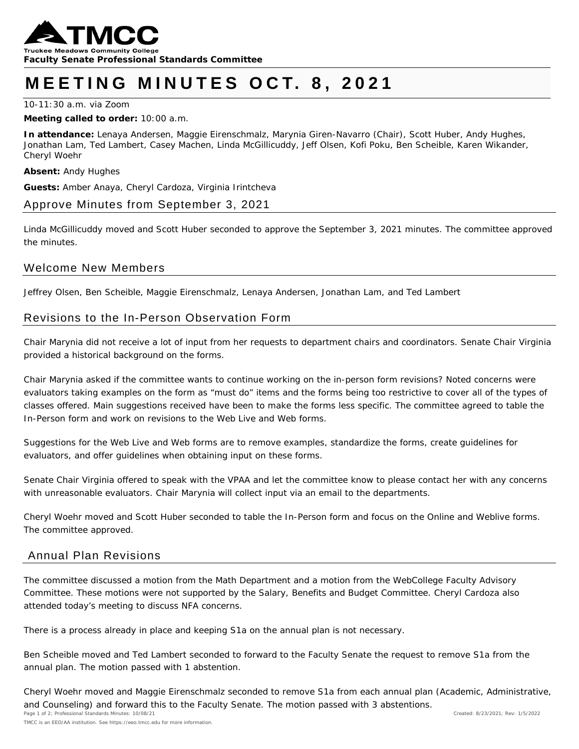

# **MEETING MINUTES OCT. 8 , 202 1**

10-11:30 a.m. via Zoom

#### **Meeting called to order:** 10:00 a.m.

**In attendance:** Lenaya Andersen, Maggie Eirenschmalz, Marynia Giren-Navarro (Chair), Scott Huber, Andy Hughes, Jonathan Lam, Ted Lambert, Casey Machen, Linda McGillicuddy, Jeff Olsen, Kofi Poku, Ben Scheible, Karen Wikander, Cheryl Woehr

**Absent:** Andy Hughes

**Guests:** Amber Anaya, Cheryl Cardoza, Virginia Irintcheva

# Approve Minutes from September 3, 2021

*Linda McGillicuddy moved and Scott Huber seconded to approve the September 3, 2021 minutes. The committee approved the minutes.* 

### Welcome New Members

Jeffrey Olsen, Ben Scheible, Maggie Eirenschmalz, Lenaya Andersen, Jonathan Lam, and Ted Lambert

# Revisions to the In-Person Observation Form

Chair Marynia did not receive a lot of input from her requests to department chairs and coordinators. Senate Chair Virginia provided a historical background on the forms.

Chair Marynia asked if the committee wants to continue working on the in-person form revisions? Noted concerns were evaluators taking examples on the form as "must do" items and the forms being too restrictive to cover all of the types of classes offered. Main suggestions received have been to make the forms less specific. The committee agreed to table the In-Person form and work on revisions to the Web Live and Web forms.

Suggestions for the Web Live and Web forms are to remove examples, standardize the forms, create guidelines for evaluators, and offer guidelines when obtaining input on these forms.

Senate Chair Virginia offered to speak with the VPAA and let the committee know to please contact her with any concerns with unreasonable evaluators. Chair Marynia will collect input via an email to the departments.

*Cheryl Woehr moved and Scott Huber seconded to table the In-Person form and focus on the Online and Weblive forms. The committee approved.* 

# Annual Plan Revisions

The committee discussed a motion from the Math Department and a motion from the WebCollege Faculty Advisory Committee. These motions were not supported by the Salary, Benefits and Budget Committee. Cheryl Cardoza also attended today's meeting to discuss NFA concerns.

There is a process already in place and keeping S1a on the annual plan is not necessary.

*Ben Scheible moved and Ted Lambert seconded to forward to the Faculty Senate the request to remove S1a from the annual plan. The motion passed with 1 abstention.* 

*Page 1 of 2; Professional Standards Minutes: 10/08/21 Created: 8/23/2021; Rev: 1/5/2022 Cheryl Woehr moved and Maggie Eirenschmalz seconded to remove S1a from each annual plan (Academic, Administrative, and Counseling) and forward this to the Faculty Senate. The motion passed with 3 abstentions.*